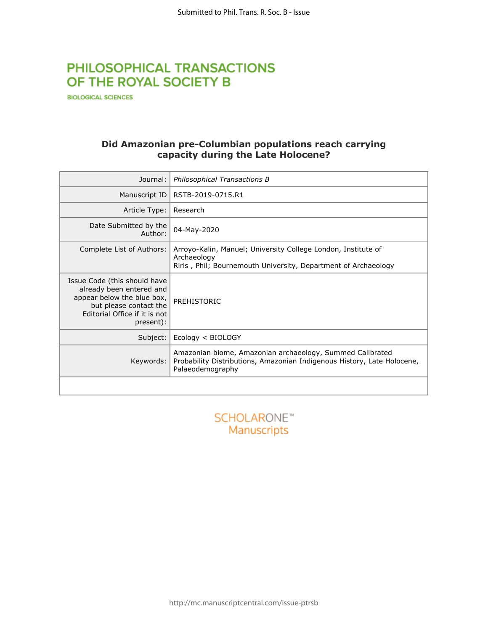# PHILOSOPHICAL TRANSACTIONS OF THE ROYAL SOCIETY B

**BIOLOGICAL SCIENCES** 

## **Did Amazonian pre-Columbian populations reach carrying capacity during the Late Holocene?**

| Journal:                                                                                                                                                       | Philosophical Transactions B                                                                                                                             |
|----------------------------------------------------------------------------------------------------------------------------------------------------------------|----------------------------------------------------------------------------------------------------------------------------------------------------------|
| Manuscript ID                                                                                                                                                  | RSTB-2019-0715.R1                                                                                                                                        |
| Article Type:                                                                                                                                                  | Research                                                                                                                                                 |
| Date Submitted by the<br>Author:                                                                                                                               | 04-May-2020                                                                                                                                              |
| Complete List of Authors:                                                                                                                                      | Arroyo-Kalin, Manuel; University College London, Institute of<br>Archaeology<br>Riris, Phil; Bournemouth University, Department of Archaeology           |
| Issue Code (this should have<br>already been entered and<br>appear below the blue box,<br>but please contact the<br>Editorial Office if it is not<br>present): | PREHISTORIC                                                                                                                                              |
| Subject:                                                                                                                                                       | Ecology < BIOLOGY                                                                                                                                        |
| Keywords:                                                                                                                                                      | Amazonian biome, Amazonian archaeology, Summed Calibrated<br>Probability Distributions, Amazonian Indigenous History, Late Holocene,<br>Palaeodemography |
|                                                                                                                                                                |                                                                                                                                                          |
|                                                                                                                                                                |                                                                                                                                                          |

Manuscripts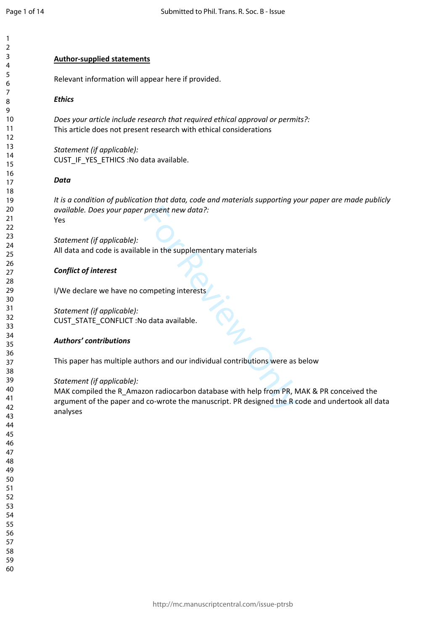$\mathbf{1}$ 

### **Author-supplied statements**

Relevant information will appear here if provided.

### *Ethics*

*Does your article include research that required ethical approval or permits?:* This article does not present research with ethical considerations

*Statement (if applicable):* CUST\_IF\_YES\_ETHICS :No data available.

#### *Data*

*It is a condition of publication that data, code and materials supporting your paper are made publicly available. Does your paper present new data?:* Yes

*Statement (if applicable):* All data and code is available in the supplementary materials

#### *Conflict of interest*

I/We declare we have no competing interests

*Statement (if applicable):* CUST\_STATE\_CONFLICT :No data available.

#### *Authors' contributions*

This paper has multiple authors and our individual contributions were as below

#### *Statement (if applicable):*

present new data?:<br>
le in the supplementary materials<br>
ompeting interests<br>
o data available.<br>
Abors and our individual contributions were as<br>
ton radiocarbon database with help from PR, N<br>
co-wrote the manuscript. PR desig MAK compiled the R\_Amazon radiocarbon database with help from PR, MAK & PR conceived the argument of the paper and co-wrote the manuscript. PR designed the R code and undertook all data analyses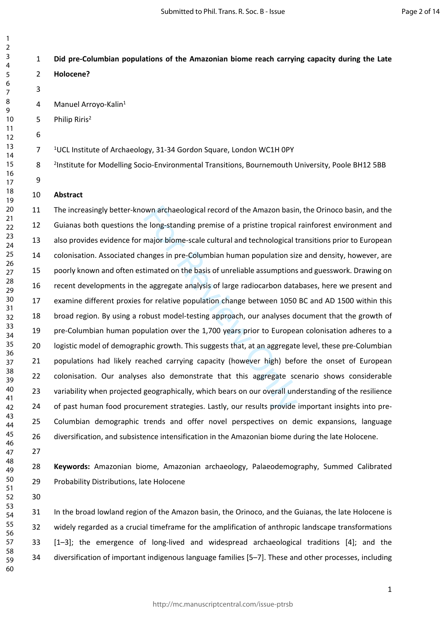## **Did pre-Columbian populations of the Amazonian biome reach carrying capacity during the Late**

 

> 4 Manuel Arroyo-Kalin<sup>1</sup> 5 Philip Riris<sup>2</sup> UCL Institute of Archaeology, 31-34 Gordon Square, London WC1H 0PY

 <sup>2</sup>Institute for Modelling Socio-Environmental Transitions, Bournemouth University, Poole BH12 5BB

## **Abstract**

**Holocene?**

wun archaeological record of the Amazon basire<br>
long-standing premise of a pristine tropical<br>
major biome-scale cultural and technological t<br>
major biome-scale cultural and technological t<br>
stimated on the basis of unrelia 11 The increasingly better-known archaeological record of the Amazon basin, the Orinoco basin, and the 12 Guianas both questions the long-standing premise of a pristine tropical rainforest environment and 13 also provides evidence for major biome-scale cultural and technological transitions prior to European 14 colonisation. Associated changes in pre-Columbian human population size and density, however, are 15 poorly known and often estimated on the basis of unreliable assumptions and guesswork. Drawing on 16 recent developments in the aggregate analysis of large radiocarbon databases, here we present and 17 examine different proxies for relative population change between 1050 BC and AD 1500 within this 18 broad region. By using a robust model-testing approach, our analyses document that the growth of 19 pre-Columbian human population over the 1,700 years prior to European colonisation adheres to a 20 logistic model of demographic growth. This suggests that, at an aggregate level, these pre-Columbian 21 populations had likely reached carrying capacity (however high) before the onset of European 22 colonisation. Our analyses also demonstrate that this aggregate scenario shows considerable 23 variability when projected geographically, which bears on our overall understanding of the resilience 24 of past human food procurement strategies. Lastly, our results provide important insights into pre-25 Columbian demographic trends and offer novel perspectives on demic expansions, language 26 diversification, and subsistence intensification in the Amazonian biome during the late Holocene.

 **Keywords:** Amazonian biome, Amazonian archaeology, Palaeodemography, Summed Calibrated 29 Probability Distributions, late Holocene

31 In the broad lowland region of the Amazon basin, the Orinoco, and the Guianas, the late Holocene is 32 widely regarded as a crucial timeframe for the amplification of anthropic landscape transformations 33 [1–3]; the emergence of long-lived and widespread archaeological traditions [4]; and the 34 diversification of important indigenous language families [5–7]. These and other processes, including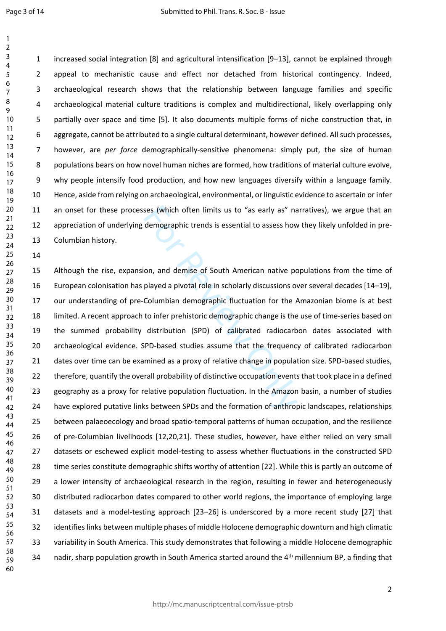Page 3 of 14

14

1 increased social integration [8] and agricultural intensification [9–13], cannot be explained through 2 appeal to mechanistic cause and effect nor detached from historical contingency. Indeed, 3 archaeological research shows that the relationship between language families and specific 4 archaeological material culture traditions is complex and multidirectional, likely overlapping only 5 partially over space and time [5]. It also documents multiple forms of niche construction that, in 6 aggregate, cannot be attributed to a single cultural determinant, however defined. All such processes, 7 however, are *per force* demographically-sensitive phenomena: simply put, the size of human 8 populations bears on how novel human niches are formed, how traditions of material culture evolve, 9 why people intensify food production, and how new languages diversify within a language family. 10 Hence, aside from relying on archaeological, environmental, or linguistic evidence to ascertain or infer 11 an onset for these processes (which often limits us to "as early as" narratives), we argue that an 12 appreciation of underlying demographic trends is essential to assess how they likely unfolded in pre-13 Columbian history.

ses (which often limits us to "as early as" nateled mographic trends is essential to assess how<br>on, and demise of South American native po<br>played a pivotal role in scholarly discussions of<br>Columbian demographic fluctuation 15 Although the rise, expansion, and demise of South American native populations from the time of 16 European colonisation has played a pivotal role in scholarly discussions over several decades [14–19], 17 our understanding of pre-Columbian demographic fluctuation for the Amazonian biome is at best 18 limited. A recent approach to infer prehistoric demographic change is the use of time-series based on 19 the summed probability distribution (SPD) of calibrated radiocarbon dates associated with 20 archaeological evidence. SPD-based studies assume that the frequency of calibrated radiocarbon 21 dates over time can be examined as a proxy of relative change in population size. SPD-based studies, 22 therefore, quantify the overall probability of distinctive occupation events that took place in a defined 23 geography as a proxy for relative population fluctuation. In the Amazon basin, a number of studies 24 have explored putative links between SPDs and the formation of anthropic landscapes, relationships 25 between palaeoecology and broad spatio-temporal patterns of human occupation, and the resilience 26 of pre-Columbian livelihoods [12,20,21]. These studies, however, have either relied on very small 27 datasets or eschewed explicit model-testing to assess whether fluctuations in the constructed SPD 28 time series constitute demographic shifts worthy of attention [22]. While this is partly an outcome of 29 a lower intensity of archaeological research in the region, resulting in fewer and heterogeneously 30 distributed radiocarbon dates compared to other world regions, the importance of employing large 31 datasets and a model-testing approach [23–26] is underscored by a more recent study [27] that 32 identifies links between multiple phases of middle Holocene demographic downturn and high climatic 33 variability in South America. This study demonstrates that following a middle Holocene demographic 34 nadir, sharp population growth in South America started around the 4<sup>th</sup> millennium BP, a finding that 48 49 50 51 52 53 54 55 56 57 58 59 60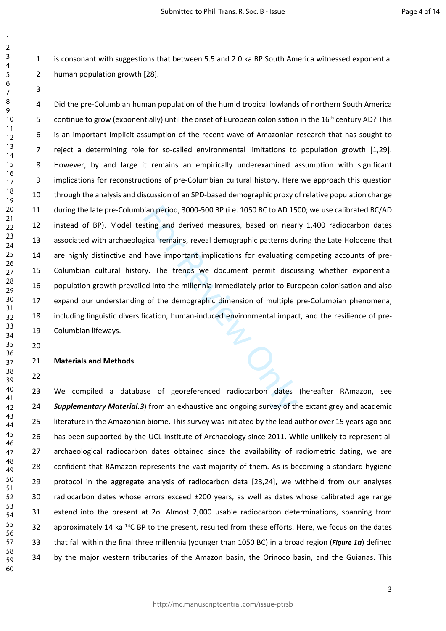1 is consonant with suggestions that between 5.5 and 2.0 ka BP South America witnessed exponential 2 human population growth [28].

ian period, 3000-500 BP (i.e. 1050 BC to AD 15<br>sting and derived measures, based on near<br>gical remains, reveal demographic patterns du<br>have important implications for evaluating cy.<br>The trends we document permit discu<br>ed i 4 Did the pre-Columbian human population of the humid tropical lowlands of northern South America 5 continue to grow (exponentially) until the onset of European colonisation in the 16<sup>th</sup> century AD? This 6 is an important implicit assumption of the recent wave of Amazonian research that has sought to 7 reject a determining role for so-called environmental limitations to population growth [1,29]. 8 However, by and large it remains an empirically underexamined assumption with significant 9 implications for reconstructions of pre-Columbian cultural history. Here we approach this question 10 through the analysis and discussion of an SPD-based demographic proxy of relative population change 11 during the late pre-Columbian period, 3000-500 BP (i.e. 1050 BC to AD 1500; we use calibrated BC/AD 12 instead of BP). Model testing and derived measures, based on nearly 1,400 radiocarbon dates 13 associated with archaeological remains, reveal demographic patterns during the Late Holocene that 14 are highly distinctive and have important implications for evaluating competing accounts of pre-15 Columbian cultural history. The trends we document permit discussing whether exponential 16 population growth prevailed into the millennia immediately prior to European colonisation and also 17 expand our understanding of the demographic dimension of multiple pre-Columbian phenomena, 18 including linguistic diversification, human-induced environmental impact, and the resilience of pre-19 Columbian lifeways.

**Materials and Methods**

 

> 23 We compiled a database of georeferenced radiocarbon dates (hereafter RAmazon, see *Supplementary Material.3*) from an exhaustive and ongoing survey of the extant grey and academic 25 literature in the Amazonian biome. This survey was initiated by the lead author over 15 years ago and 26 has been supported by the UCL Institute of Archaeology since 2011. While unlikely to represent all 27 archaeological radiocarbon dates obtained since the availability of radiometric dating, we are 28 confident that RAmazon represents the vast majority of them. As is becoming a standard hygiene 29 protocol in the aggregate analysis of radiocarbon data [23,24], we withheld from our analyses 30 radiocarbon dates whose errors exceed ±200 years, as well as dates whose calibrated age range 31 extend into the present at 2σ. Almost 2,000 usable radiocarbon determinations, spanning from 32 approximately 14 ka <sup>14</sup>C BP to the present, resulted from these efforts. Here, we focus on the dates 33 that fall within the final three millennia (younger than 1050 BC) in a broad region (*[Figure](#page-7-0) 1a*) defined 34 by the major western tributaries of the Amazon basin, the Orinoco basin, and the Guianas. This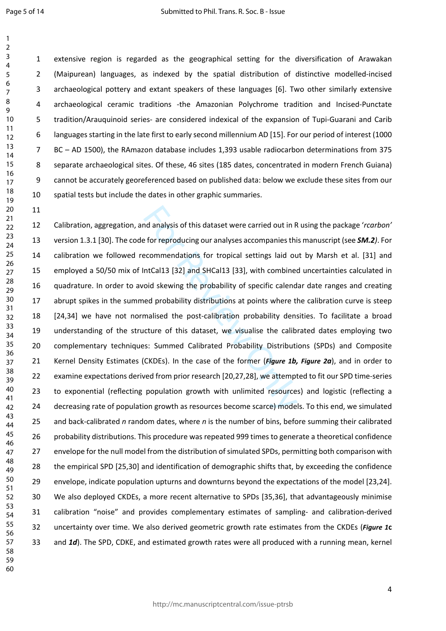11

1 extensive region is regarded as the geographical setting for the diversification of Arawakan 2 (Maipurean) languages, as indexed by the spatial distribution of distinctive modelled-incised 3 archaeological pottery and extant speakers of these languages [6]. Two other similarly extensive 4 archaeological ceramic traditions -the Amazonian Polychrome tradition and Incised-Punctate 5 tradition/Arauquinoid series- are considered indexical of the expansion of Tupi-Guarani and Carib 6 languages starting in the late first to early second millennium AD [15]. For our period of interest (1000 7 BC – AD 1500), the RAmazon database includes 1,393 usable radiocarbon determinations from 375 8 separate archaeological sites. Of these, 46 sites (185 dates, concentrated in modern French Guiana) 9 cannot be accurately georeferenced based on published data: below we exclude these sites from our 10 spatial tests but include the dates in other graphic summaries.

nd analysis of this dataset were carried out in R<br>
efor reproducing our analyses accompanies this<br>
ecommendations for tropical settings laid ou<br>
ntCal13 [32] and SHCal13 [33], with combine<br>
oid skewing the probability of s 12 Calibration, aggregation, and analysis of this dataset were carried out in R using the package '*rcarbon'*  13 version 1.3.1 [30]. The code for reproducing our analyses accompanies this manuscript (see *SM.2)*. For 14 calibration we followed recommendations for tropical settings laid out by Marsh et al. [31] and 15 employed a 50/50 mix of IntCal13 [32] and SHCal13 [33], with combined uncertainties calculated in 16 quadrature. In order to avoid skewing the probability of specific calendar date ranges and creating 17 abrupt spikes in the summed probability distributions at points where the calibration curve is steep 18 [24,34] we have not normalised the post-calibration probability densities. To facilitate a broad 19 understanding of the structure of this dataset, we visualise the calibrated dates employing two 20 complementary techniques: Summed Calibrated Probability Distributions (SPDs) and Composite 21 Kernel Density Estimates (CKDEs). In the case of the former (*Figure 1b, [Figure 2](#page-8-0) a*), and in order to 22 examine expectations derived from prior research [20,27,28], we attempted to fit our SPD time-series 23 to exponential (reflecting population growth with unlimited resources) and logistic (reflecting a 24 decreasing rate of population growth as resources become scarce) models. To this end, we simulated 25 and back-calibrated *n* random dates, where *n* is the number of bins, before summing their calibrated 26 probability distributions. This procedure was repeated 999 times to generate a theoretical confidence 27 envelope for the null model from the distribution of simulated SPDs, permitting both comparison with 28 the empirical SPD [25,30] and identification of demographic shifts that, by exceeding the confidence 29 envelope, indicate population upturns and downturns beyond the expectations of the model [23,24]. 30 We also deployed CKDEs, a more recent alternative to SPDs [35,36], that advantageously minimise 31 calibration "noise" and provides complementary estimates of sampling- and calibration-derived 32 uncertainty over time. We also derived geometric growth rate estimates from the CKDEs (*[Figure](#page-7-0) 1* **c** 33 and *1d*). The SPD, CDKE, and estimated growth rates were all produced with a running mean, kernel 54 55 56 57 58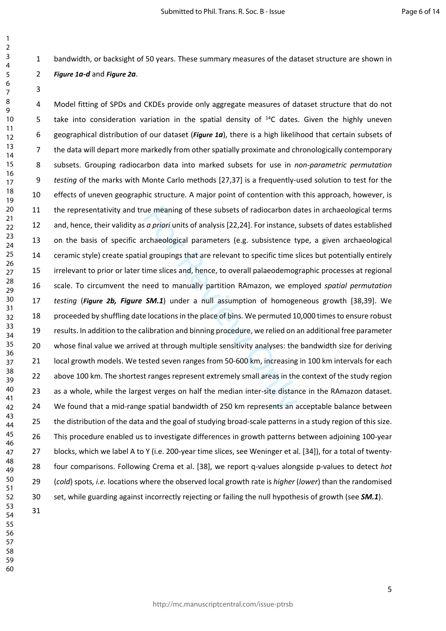1 bandwidth, or backsight of 50 years. These summary measures of the dataset structure are shown in

## *[Figure](#page-7-0) 1a-d* and *[Figure 2](#page-8-0)a*.

 

> ue meaning of these subsets of radiocarbon d<br>
> is *a priori* units of analysis [22,24]. For instance,<br>
> rchaeological parameters (e.g. subsistence the propings that are relevant to specific time s<br>
> sime slices and, hence, to 4 Model fitting of SPDs and CKDEs provide only aggregate measures of dataset structure that do not 5 take into consideration variation in the spatial density of <sup>14</sup>C dates. Given the highly uneven 6 geographical distribution of our dataset (*[Figure](#page-7-0) 1a*), there is a high likelihood that certain subsets of 7 the data will depart more markedly from other spatially proximate and chronologically contemporary 8 subsets. Grouping radiocarbon data into marked subsets for use in *non-parametric permutation testing* of the marks with Monte Carlo methods [27,37] is a frequently-used solution to test for the 10 effects of uneven geographic structure. A major point of contention with this approach, however, is 11 the representativity and true meaning of these subsets of radiocarbon dates in archaeological terms 12 and, hence, their validity as *a priori* units of analysis [22,24]. For instance, subsets of dates established 13 on the basis of specific archaeological parameters (e.g. subsistence type, a given archaeological 14 ceramic style) create spatial groupings that are relevant to specific time slices but potentially entirely 15 irrelevant to prior or later time slices and, hence, to overall palaeodemographic processes at regional 16 scale. To circumvent the need to manually partition RAmazon, we employed *spatial permutation testing* (*[Figure 2](#page-8-0)b, Figure SM.1*) under a null assumption of homogeneous growth [38,39]. We 18 proceeded by shuffling date locations in the place of bins. We permuted 10,000 times to ensure robust 19 results. In addition to the calibration and binning procedure, we relied on an additional free parameter 20 whose final value we arrived at through multiple sensitivity analyses: the bandwidth size for deriving 21 local growth models. We tested seven ranges from 50-600 km, increasing in 100 km intervals for each 22 above 100 km. The shortest ranges represent extremely small areas in the context of the study region 23 as a whole, while the largest verges on half the median inter-site distance in the RAmazon dataset. 24 We found that a mid-range spatial bandwidth of 250 km represents an acceptable balance between 25 the distribution of the data and the goal of studying broad-scale patterns in a study region of this size. 26 This procedure enabled us to investigate differences in growth patterns between adjoining 100-year 27 blocks, which we label A to Y (i.e. 200-year time slices, see Weninger et al. [34]), for a total of twenty-28 four comparisons. Following Crema et al. [38], we report q-values alongside p-values to detect *hot* 29 (*cold*) spots*, i.e.* locations where the observed local growth rate is *higher* (*lower*) than the randomised 30 set, while guarding against incorrectly rejecting or failing the null hypothesis of growth (see *SM.1*).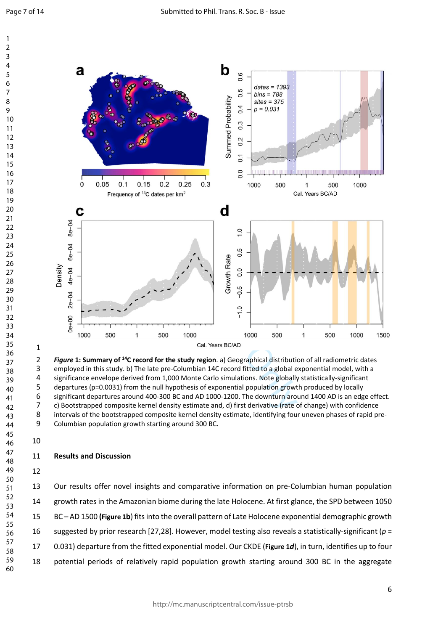$\mathbf{1}$  $\overline{2}$  $\overline{3}$  $\overline{4}$ 



<span id="page-7-0"></span> employed in this study. b) The late pre-Columbian 14C record fitted to a global exponential model, with a significance envelope derived from 1,000 Monte Carlo simulations. Note globally statistically-significant departures (p=0.0031) from the null hypothesis of exponential population growth produced by locally significant departures around 400-300 BC and AD 1000-1200. The downturn around 1400 AD is an edge effect. c) Bootstrapped composite kernel density estimate and, d) first derivative (rate of change) with confidence intervals of the bootstrapped composite kernel density estimate, identifying four uneven phases of rapid pre- Columbian population growth starting around 300 BC.

#### **Results and Discussion**

13 Our results offer novel insights and comparative information on pre-Columbian human population 14 growth rates in the Amazonian biome during the late Holocene. At first glance, the SPD between 1050 15 BC – AD 1500 **([Figure 1](#page-7-0) b**) fits into the overall pattern of Late Holocene exponential demographic growth 16 suggested by prior research [27,28]. However, model testing also reveals a statistically-significant ( *p* = 17 0.031) departure from the fitted exponential model. Our CKDE (**[Figure 1](#page-7-0)** *d*), in turn, identifies up to four 18 potential periods of relatively rapid population growth starting around 300 BC in the aggregate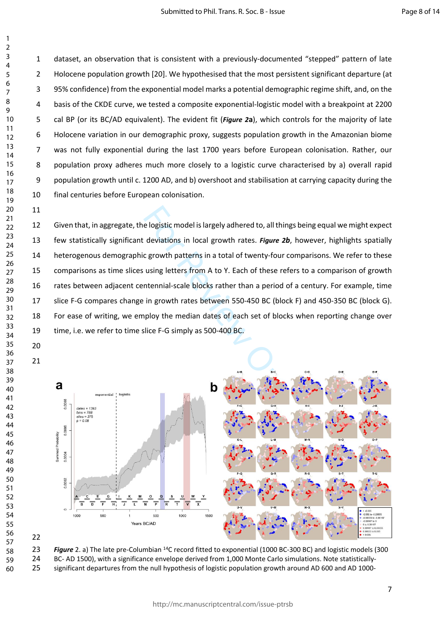1 dataset, an observation that is consistent with a previously-documented "stepped" pattern of late 2 Holocene population growth [20]. We hypothesised that the most persistent significant departure (at 3 95% confidence) from the exponential model marks a potential demographic regime shift, and, on the 4 basis of the CKDE curve, we tested a composite exponential-logistic model with a breakpoint at 2200 5 cal BP (or its BC/AD equivalent). The evident fit (*[Figure 2](#page-8-0)***a**), which controls for the majority of late 6 Holocene variation in our demographic proxy, suggests population growth in the Amazonian biome 7 was not fully exponential during the last 1700 years before European colonisation. Rather, our 8 population proxy adheres much more closely to a logistic curve characterised by a) overall rapid 9 population growth until c. 1200 AD, and b) overshoot and stabilisation at carrying capacity during the 10 final centuries before European colonisation.

Example 19 and the logistic model is largely adhered to, all things<br>deviations in local growth rates. Figure 2b, b<br>c growth patterns in a total of twenty-four con<br>using letters from A to Y. Each of these referse<br>ntennial-s 12 Given that, in aggregate, the logistic model is largely adhered to, all things being equal we might expect 13 few statistically significant deviations in local growth rates. *Figure 2b*, however, highlights spatially 14 heterogenous demographic growth patterns in a total of twenty-four comparisons. We refer to these 15 comparisons as time slices using letters from A to Y. Each of these refers to a comparison of growth 16 rates between adjacent centennial-scale blocks rather than a period of a century. For example, time 17 slice F-G compares change in growth rates between 550-450 BC (block F) and 450-350 BC (block G). 18 For ease of writing, we employ the median dates of each set of blocks when reporting change over 19 time, i.e. we refer to time slice F-G simply as 500-400 BC.



<span id="page-8-0"></span>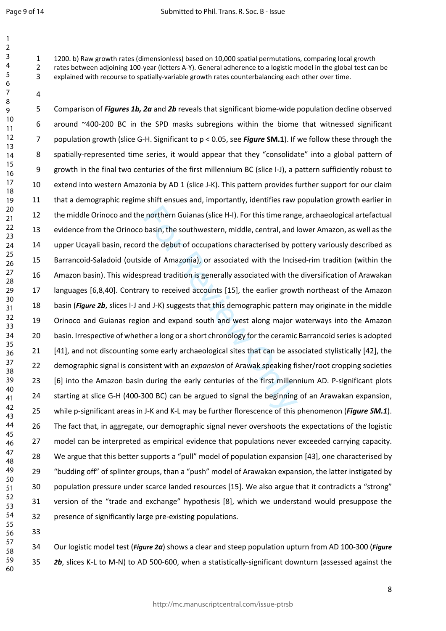1200. b) Raw growth rates (dimensionless) based on 10,000 spatial permutations, comparing local growth rates between adjoining 100-year (letters A-Y). General adherence to a logistic model in the global test can be explained with recourse to spatially-variable growth rates counterbalancing each other over time.

en northern Guianas (slice H-I). For this time rang<br>basin, the southwestern, middle, central, and l<br>the debut of occupations characterised by po<br>de of Amazonia), or associated with the Incis<br>oread tradition is generally as 5 Comparison of *Figures 1b, 2a* and *2b* reveals that significant biome-wide population decline observed 6 around ~400-200 BC in the SPD masks subregions within the biome that witnessed significant 7 population growth (slice G-H. Significant to p < 0.05, see *Figure* **SM.1**). If we follow these through the 8 spatially-represented time series, it would appear that they "consolidate" into a global pattern of 9 growth in the final two centuries of the first millennium BC (slice I-J), a pattern sufficiently robust to 10 extend into western Amazonia by AD 1 (slice J-K). This pattern provides further support for our claim 11 that a demographic regime shift ensues and, importantly, identifies raw population growth earlier in 12 the middle Orinoco and the northern Guianas (slice H-I). For this time range, archaeological artefactual 13 evidence from the Orinoco basin, the southwestern, middle, central, and lower Amazon, as well as the 14 upper Ucayali basin, record the debut of occupations characterised by pottery variously described as 15 Barrancoid-Saladoid (outside of Amazonia), or associated with the Incised-rim tradition (within the 16 Amazon basin). This widespread tradition is generally associated with the diversification of Arawakan 17 languages [6,8,40]. Contrary to received accounts [15], the earlier growth northeast of the Amazon 18 basin ([Figure 2](#page-8-0)b, slices I-J and J-K) suggests that this demographic pattern may originate in the middle 19 Orinoco and Guianas region and expand south and west along major waterways into the Amazon 20 basin. Irrespective of whether a long or a short chronology for the ceramic Barrancoid series is adopted 21 [41], and not discounting some early archaeological sites that can be associated stylistically [42], the 22 demographic signal is consistent with an *expansion* of Arawak speaking fisher/root cropping societies 23 [6] into the Amazon basin during the early centuries of the first millennium AD. P-significant plots 24 starting at slice G-H (400-300 BC) can be argued to signal the beginning of an Arawakan expansion, 25 while p-significant areas in J-K and K-L may be further florescence of this phenomenon (*Figure SM.1*). 26 The fact that, in aggregate, our demographic signal never overshoots the expectations of the logistic 27 model can be interpreted as empirical evidence that populations never exceeded carrying capacity. 28 We argue that this better supports a "pull" model of population expansion [43], one characterised by 29 "budding off" of splinter groups, than a "push" model of Arawakan expansion, the latter instigated by 30 population pressure under scarce landed resources [15]. We also argue that it contradicts a "strong" 31 version of the "trade and exchange" hypothesis [8], which we understand would presuppose the 32 presence of significantly large pre-existing populations.

 

 

34 Our logistic model test (*[Figure 2](#page-8-0)a*) shows a clear and steep population upturn from AD 100-300 (*Figure b*, slices K-L to M-N) to AD 500-600, when a statistically-significant downturn (assessed against the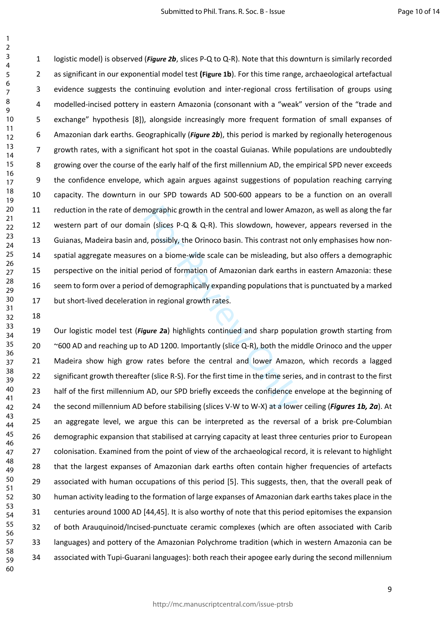mographic growth in the central and lower Amain<br>
in (slices P-Q & Q-R). This slowdown, howev<br>
d, possibly, the Orinoco basin. This contrast no<br>
son a biome-wide scale can be misleading, bu<br>
period of formation of Amazonian 1 logistic model) is observed (*[Figure 2](#page-8-0)b*, slices P-Q to Q-R). Note that this downturn is similarly recorded 2 as significant in our exponential model test **([Figure 1](#page-7-0)b**). For this time range, archaeological artefactual 3 evidence suggests the continuing evolution and inter-regional cross fertilisation of groups using 4 modelled-incised pottery in eastern Amazonia (consonant with a "weak" version of the "trade and 5 exchange" hypothesis [8]), alongside increasingly more frequent formation of small expanses of 6 Amazonian dark earths. Geographically (*[Figure 2](#page-8-0)b*), this period is marked by regionally heterogenous 7 growth rates, with a significant hot spot in the coastal Guianas. While populations are undoubtedly 8 growing over the course of the early half of the first millennium AD, the empirical SPD never exceeds 9 the confidence envelope, which again argues against suggestions of population reaching carrying 10 capacity. The downturn in our SPD towards AD 500-600 appears to be a function on an overall 11 reduction in the rate of demographic growth in the central and lower Amazon, as well as along the far 12 western part of our domain (slices P-Q & Q-R). This slowdown, however, appears reversed in the 13 Guianas, Madeira basin and, possibly, the Orinoco basin. This contrast not only emphasises how non-14 spatial aggregate measures on a biome-wide scale can be misleading, but also offers a demographic 15 perspective on the initial period of formation of Amazonian dark earths in eastern Amazonia: these 16 seem to form over a period of demographically expanding populations that is punctuated by a marked 17 but short-lived deceleration in regional growth rates.

19 Our logistic model test (*Figure 2***a**) highlights continued and sharp population growth starting from 20 ~600 AD and reaching up to AD 1200. Importantly (slice Q-R), both the middle Orinoco and the upper 21 Madeira show high grow rates before the central and lower Amazon, which records a lagged 22 significant growth thereafter (slice R-S). For the first time in the time series, and in contrast to the first 23 half of the first millennium AD, our SPD briefly exceeds the confidence envelope at the beginning of 24 the second millennium AD before stabilising (slices V-W to W-X) at a lower ceiling (*Figures 1b, 2a*). At 25 an aggregate level, we argue this can be interpreted as the reversal of a brisk pre-Columbian 26 demographic expansion that stabilised at carrying capacity at least three centuries prior to European 27 colonisation. Examined from the point of view of the archaeological record, it is relevant to highlight 28 that the largest expanses of Amazonian dark earths often contain higher frequencies of artefacts 29 associated with human occupations of this period [5]. This suggests, then, that the overall peak of 30 human activity leading to the formation of large expanses of Amazonian dark earths takes place in the 31 centuries around 1000 AD [44,45]. It is also worthy of note that this period epitomises the expansion 32 of both Arauquinoid/Incised-punctuate ceramic complexes (which are often associated with Carib 33 languages) and pottery of the Amazonian Polychrome tradition (which in western Amazonia can be 34 associated with Tupi-Guarani languages): both reach their apogee early during the second millennium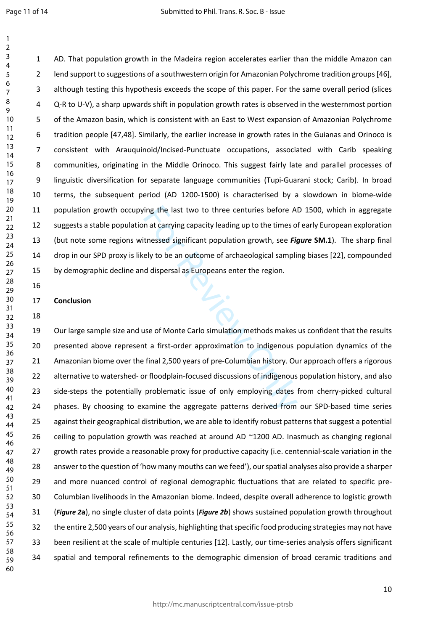$\mathbf{1}$ 

1 AD. That population growth in the Madeira region accelerates earlier than the middle Amazon can 2 lend support to suggestions of a southwestern origin for Amazonian Polychrome tradition groups [46], 3 although testing this hypothesis exceeds the scope of this paper. For the same overall period (slices 4 Q-R to U-V), a sharp upwards shift in population growth rates is observed in the westernmost portion 5 of the Amazon basin, which is consistent with an East to West expansion of Amazonian Polychrome 6 tradition people [47,48]. Similarly, the earlier increase in growth rates in the Guianas and Orinoco is 7 consistent with Arauquinoid/Incised-Punctuate occupations, associated with Carib speaking 8 communities, originating in the Middle Orinoco. This suggest fairly late and parallel processes of 9 linguistic diversification for separate language communities (Tupi-Guarani stock; Carib). In broad 10 terms, the subsequent period (AD 1200-1500) is characterised by a slowdown in biome-wide 11 population growth occupying the last two to three centuries before AD 1500, which in aggregate 12 suggests a stable population at carrying capacity leading up to the times of early European exploration 13 (but note some regions witnessed significant population growth, see *Figure* **SM.1**). The sharp final 14 drop in our SPD proxy is likely to be an outcome of archaeological sampling biases [22], compounded 15 by demographic decline and dispersal as Europeans enter the region.

#### 17 **Conclusion**

16

18

ing the last two to three centuries before A<br>
in at carrying capacity leading up to the times of<br>
the ssed significant population growth, see Figure of<br>
ely to be an outcome of archaeological samplif<br>
d dispersal as Europe 19 Our large sample size and use of Monte Carlo simulation methods makes us confident that the results 20 presented above represent a first-order approximation to indigenous population dynamics of the 21 Amazonian biome over the final 2,500 years of pre-Columbian history. Our approach offers a rigorous 22 alternative to watershed- or floodplain-focused discussions of indigenous population history, and also 23 side-steps the potentially problematic issue of only employing dates from cherry-picked cultural 24 phases. By choosing to examine the aggregate patterns derived from our SPD-based time series 25 against their geographical distribution, we are able to identify robust patterns that suggest a potential 26 ceiling to population growth was reached at around AD ~1200 AD. Inasmuch as changing regional 27 growth rates provide a reasonable proxy for productive capacity (i.e. centennial-scale variation in the 28 answer to the question of 'how many mouths can we feed'), our spatial analyses also provide a sharper 29 and more nuanced control of regional demographic fluctuations that are related to specific pre-30 Columbian livelihoods in the Amazonian biome. Indeed, despite overall adherence to logistic growth 31 (*[Figure 2](#page-8-0)* **a**), no single cluster of data points (*[Figure 2](#page-8-0) b*) shows sustained population growth throughout 32 the entire 2,500 years of our analysis, highlighting that specific food producing strategies may not have 33 been resilient at the scale of multiple centuries [12]. Lastly, our time-series analysis offers significant 34 spatial and temporal refinements to the demographic dimension of broad ceramic traditions and 58 59 60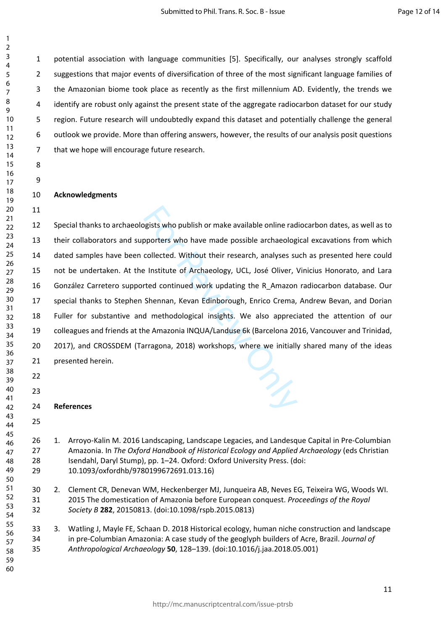1 potential association with language communities [5]. Specifically, our analyses strongly scaffold 2 suggestions that major events of diversification of three of the most significant language families of 3 the Amazonian biome took place as recently as the first millennium AD. Evidently, the trends we 4 identify are robust only against the present state of the aggregate radiocarbon dataset for our study 5 region. Future research will undoubtedly expand this dataset and potentially challenge the general 6 outlook we provide. More than offering answers, however, the results of our analysis posit questions 7 that we hope will encourage future research.

**Acknowledgments**

paysits who publish or make available online rad<br>pporters who have made possible archaeolog<br>collected. Without their research, analyses st<br>elistitute of Archaeology, UCL, José Oliver, v<br>rted continued work updating the R\_A 12 Special thanks to archaeologists who publish or make available online radiocarbon dates, as well as to 13 their collaborators and supporters who have made possible archaeological excavations from which 14 dated samples have been collected. Without their research, analyses such as presented here could 15 not be undertaken. At the Institute of Archaeology, UCL, José Oliver, Vinicius Honorato, and Lara 16 González Carretero supported continued work updating the R\_Amazon radiocarbon database. Our 17 special thanks to Stephen Shennan, Kevan Edinborough, Enrico Crema, Andrew Bevan, and Dorian 18 Fuller for substantive and methodological insights. We also appreciated the attention of our 19 colleagues and friends at the Amazonia INQUA/Landuse 6k (Barcelona 2016, Vancouver and Trinidad, 20 2017), and CROSSDEM (Tarragona, 2018) workshops, where we initially shared many of the ideas 21 presented herein. 

**References** 

 

- 
- 26 1. Arroyo-Kalin M. 2016 Landscaping, Landscape Legacies, and Landesque Capital in Pre-Columbian 27 Amazonia. In *The Oxford Handbook of Historical Ecology and Applied Archaeology* (eds Christian 28 Isendahl, Daryl Stump), pp. 1–24. Oxford: Oxford University Press. (doi: 29 10.1093/oxfordhb/9780199672691.013.16)
- 30 2. Clement CR, Denevan WM, Heckenberger MJ, Junqueira AB, Neves EG, Teixeira WG, Woods WI. 31 2015 The domestication of Amazonia before European conquest. *Proceedings of the Royal Society B* **282**, 20150813. (doi:10.1098/rspb.2015.0813)
- 33 3. Watling J, Mayle FE, Schaan D. 2018 Historical ecology, human niche construction and landscape 34 in pre-Columbian Amazonia: A case study of the geoglyph builders of Acre, Brazil. *Journal of Anthropological Archaeology* **50**, 128–139. (doi:10.1016/j.jaa.2018.05.001)
-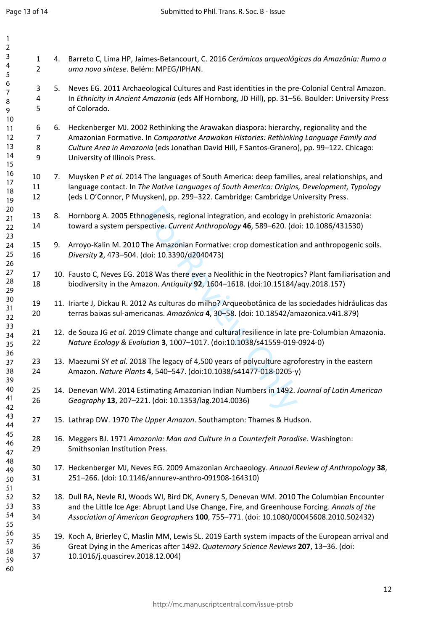$\mathbf{1}$ 

| 1        |                               |    |                                                                                                                                                                                             |
|----------|-------------------------------|----|---------------------------------------------------------------------------------------------------------------------------------------------------------------------------------------------|
| 2<br>3   |                               |    |                                                                                                                                                                                             |
| 4<br>5   | $\mathbf 1$<br>$\overline{2}$ |    | 4. Barreto C, Lima HP, Jaimes-Betancourt, C. 2016 Cerámicas arqueolôgicas da Amazônia: Rumo a<br>uma nova síntese. Belém: MPEG/IPHAN.                                                       |
| 6        | 3                             | 5. | Neves EG. 2011 Archaeological Cultures and Past identities in the pre-Colonial Central Amazon.                                                                                              |
| 7<br>8   | 4                             |    | In Ethnicity in Ancient Amazonia (eds Alf Hornborg, JD Hill), pp. 31-56. Boulder: University Press                                                                                          |
| 9        | 5                             |    | of Colorado.                                                                                                                                                                                |
| 10       |                               |    |                                                                                                                                                                                             |
| 11<br>12 | 6<br>7                        | 6. | Heckenberger MJ. 2002 Rethinking the Arawakan diaspora: hierarchy, regionality and the<br>Amazonian Formative. In Comparative Arawakan Histories: Rethinking Language Family and            |
| 13       | 8                             |    | Culture Area in Amazonia (eds Jonathan David Hill, F Santos-Granero), pp. 99-122. Chicago:                                                                                                  |
| 14<br>15 | 9                             |    | University of Illinois Press.                                                                                                                                                               |
| 16       | 10                            | 7. | Muysken P et al. 2014 The languages of South America: deep families, areal relationships, and                                                                                               |
| 17<br>18 | 11                            |    | language contact. In The Native Languages of South America: Origins, Development, Typology                                                                                                  |
| 19       | 12                            |    | (eds L O'Connor, P Muysken), pp. 299-322. Cambridge: Cambridge University Press.                                                                                                            |
| 20       |                               |    |                                                                                                                                                                                             |
| 21       | 13<br>14                      | 8. | Hornborg A. 2005 Ethnogenesis, regional integration, and ecology in prehistoric Amazonia:<br>toward a system perspective. Current Anthropology 46, 589-620. (doi: 10.1086/431530)           |
| 22<br>23 |                               |    |                                                                                                                                                                                             |
| 24       | 15                            | 9. | Arroyo-Kalin M. 2010 The Amazonian Formative: crop domestication and anthropogenic soils.                                                                                                   |
| 25       | 16                            |    | Diversity 2, 473-504. (doi: 10.3390/d2040473)                                                                                                                                               |
| 26       |                               |    |                                                                                                                                                                                             |
| 27<br>28 | 17                            |    | 10. Fausto C, Neves EG. 2018 Was there ever a Neolithic in the Neotropics? Plant familiarisation and                                                                                        |
| 29       | 18                            |    | biodiversity in the Amazon. Antiquity 92, 1604-1618. (doi:10.15184/aqy.2018.157)                                                                                                            |
| 30       | 19                            |    | 11. Iriarte J, Dickau R. 2012 As culturas do milho? Arqueobotânica de las sociedades hidráulicas das                                                                                        |
| 31<br>32 | 20                            |    | terras baixas sul-americanas. Amazônica 4, 30-58. (doi: 10.18542/amazonica.v4i1.879)                                                                                                        |
| 33<br>34 | 21                            |    | 12. de Souza JG et al. 2019 Climate change and cultural resilience in late pre-Columbian Amazonia.                                                                                          |
| 35       | 22                            |    | Nature Ecology & Evolution 3, 1007-1017. (doi:10.1038/s41559-019-0924-0)                                                                                                                    |
| 36       |                               |    |                                                                                                                                                                                             |
| 37       | 23                            |    | 13. Maezumi SY et al. 2018 The legacy of 4,500 years of polyculture agroforestry in the eastern                                                                                             |
| 38<br>39 | 24                            |    | Amazon. Nature Plants 4, 540-547. (doi:10.1038/s41477-018-0205-y)                                                                                                                           |
| 40       | 25                            |    | 14. Denevan WM. 2014 Estimating Amazonian Indian Numbers in 1492. Journal of Latin American                                                                                                 |
| 41       | 26                            |    | Geography 13, 207-221. (doi: 10.1353/lag.2014.0036)                                                                                                                                         |
| 42<br>43 |                               |    |                                                                                                                                                                                             |
| 44       | 27                            |    | 15. Lathrap DW. 1970 The Upper Amazon. Southampton: Thames & Hudson.                                                                                                                        |
| 45       | 28                            |    | 16. Meggers BJ. 1971 Amazonia: Man and Culture in a Counterfeit Paradise. Washington:                                                                                                       |
| 46       | 29                            |    | Smithsonian Institution Press.                                                                                                                                                              |
| 47<br>48 |                               |    |                                                                                                                                                                                             |
| 49       | 30                            |    | 17. Heckenberger MJ, Neves EG. 2009 Amazonian Archaeology. Annual Review of Anthropology 38,                                                                                                |
| 50       | 31                            |    | 251-266. (doi: 10.1146/annurev-anthro-091908-164310)                                                                                                                                        |
| 51       |                               |    |                                                                                                                                                                                             |
| 52<br>53 | 32<br>33                      |    | 18. Dull RA, Nevle RJ, Woods WI, Bird DK, Avnery S, Denevan WM. 2010 The Columbian Encounter<br>and the Little Ice Age: Abrupt Land Use Change, Fire, and Greenhouse Forcing. Annals of the |
| 54       | 34                            |    | Association of American Geographers 100, 755-771. (doi: 10.1080/00045608.2010.502432)                                                                                                       |
| 55       |                               |    |                                                                                                                                                                                             |
| 56       | 35                            |    | 19. Koch A, Brierley C, Maslin MM, Lewis SL. 2019 Earth system impacts of the European arrival and                                                                                          |
| 57<br>58 | 36                            |    | Great Dying in the Americas after 1492. Quaternary Science Reviews 207, 13-36. (doi:                                                                                                        |
| 59       | 37                            |    | 10.1016/j.quascirev.2018.12.004)                                                                                                                                                            |
| 60       |                               |    |                                                                                                                                                                                             |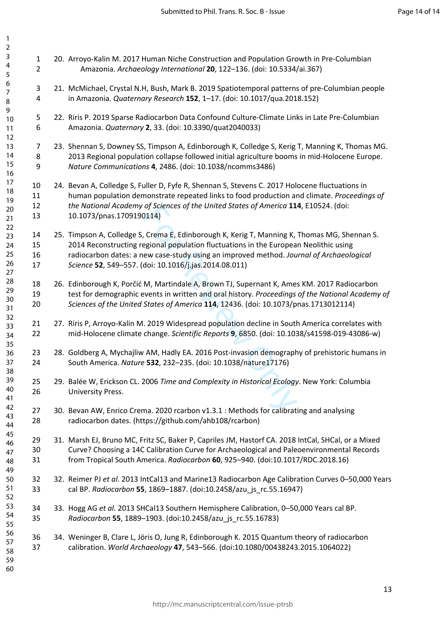| 3<br>$\overline{\mathbf{4}}$<br>5 | $\mathbf 1$<br>$\overline{2}$  | 20. Arroyo-Kalin M. 2017 Human Niche Construction and Population Growth in Pre-Columbian<br>Amazonia. Archaeology International 20, 122-136. (doi: 10.5334/ai.367)                             |
|-----------------------------------|--------------------------------|------------------------------------------------------------------------------------------------------------------------------------------------------------------------------------------------|
| 6<br>$\boldsymbol{7}$<br>8        | $\ensuremath{\mathsf{3}}$<br>4 | 21. McMichael, Crystal N.H, Bush, Mark B. 2019 Spatiotemporal patterns of pre-Columbian people<br>in Amazonia. Quaternary Research 152, 1-17. (doi: 10.1017/qua.2018.152)                      |
| 9<br>$10$<br>11                   | $\mathsf S$<br>6               | 22. Riris P. 2019 Sparse Radiocarbon Data Confound Culture-Climate Links in Late Pre-Columbian<br>Amazonia. Quaternary 2, 33. (doi: 10.3390/quat2040033)                                       |
| 12<br>13<br>14                    | $\overline{7}$<br>8            | 23. Shennan S, Downey SS, Timpson A, Edinborough K, Colledge S, Kerig T, Manning K, Thomas MG.<br>2013 Regional population collapse followed initial agriculture booms in mid-Holocene Europe. |
| 15<br>16                          | 9                              | Nature Communications 4, 2486. (doi: 10.1038/ncomms3486)                                                                                                                                       |
| 17<br>18                          | 10                             | 24. Bevan A, Colledge S, Fuller D, Fyfe R, Shennan S, Stevens C. 2017 Holocene fluctuations in                                                                                                 |
| 19                                | 11                             | human population demonstrate repeated links to food production and climate. Proceedings of                                                                                                     |
| 20<br>21                          | 12<br>13                       | the National Academy of Sciences of the United States of America 114, E10524. (doi:<br>10.1073/pnas.1709190114)                                                                                |
| 22<br>23                          | 14                             | 25. Timpson A, Colledge S, Crema E, Edinborough K, Kerig T, Manning K, Thomas MG, Shennan S.                                                                                                   |
| 24                                | 15                             | 2014 Reconstructing regional population fluctuations in the European Neolithic using                                                                                                           |
| 25                                | 16                             | radiocarbon dates: a new case-study using an improved method. Journal of Archaeological                                                                                                        |
| 26<br>27                          | 17                             | Science 52, 549-557. (doi: 10.1016/j.jas.2014.08.011)                                                                                                                                          |
| 28                                | 18                             | 26. Edinborough K, Porčić M, Martindale A, Brown TJ, Supernant K, Ames KM. 2017 Radiocarbon                                                                                                    |
| 29<br>30                          | 19                             | test for demographic events in written and oral history. Proceedings of the National Academy of                                                                                                |
| 31<br>32                          | 20                             | Sciences of the United States of America 114, 12436. (doi: 10.1073/pnas.1713012114)                                                                                                            |
| 33<br>34<br>35                    | 21<br>22                       | 27. Riris P, Arroyo-Kalin M. 2019 Widespread population decline in South America correlates with<br>mid-Holocene climate change. Scientific Reports 9, 6850. (doi: 10.1038/s41598-019-43086-w) |
| 36<br>37                          | 23<br>24                       | 28. Goldberg A, Mychajliw AM, Hadly EA. 2016 Post-invasion demography of prehistoric humans in<br>South America. Nature 532, 232-235. (doi: 10.1038/nature17176)                               |
| 38<br>39<br>40                    | 25<br>26                       | 29. Balée W, Erickson CL. 2006 Time and Complexity in Historical Ecology. New York: Columbia<br>University Press.                                                                              |
| 41<br>42                          |                                |                                                                                                                                                                                                |
| 43<br>44                          | 27<br>28                       | 30. Bevan AW, Enrico Crema. 2020 rcarbon v1.3.1 : Methods for calibrating and analysing<br>radiocarbon dates. (https://github.com/ahb108/rcarbon)                                              |
| 45<br>46                          | 29                             | 31. Marsh EJ, Bruno MC, Fritz SC, Baker P, Capriles JM, Hastorf CA. 2018 IntCal, SHCal, or a Mixed                                                                                             |
| 47                                | 30                             | Curve? Choosing a 14C Calibration Curve for Archaeological and Paleoenvironmental Records                                                                                                      |
| 48<br>49                          | 31                             | from Tropical South America. Radiocarbon 60, 925-940. (doi:10.1017/RDC.2018.16)                                                                                                                |
| 50                                | 32                             | 32. Reimer PJ et al. 2013 IntCal13 and Marine13 Radiocarbon Age Calibration Curves 0-50,000 Years                                                                                              |
| 51<br>52                          | 33                             | cal BP. Radiocarbon 55, 1869-1887. (doi:10.2458/azu_js_rc.55.16947)                                                                                                                            |
| 53<br>54<br>55                    | 34<br>35                       | 33. Hogg AG et al. 2013 SHCal13 Southern Hemisphere Calibration, 0-50,000 Years cal BP.<br>Radiocarbon 55, 1889-1903. (doi:10.2458/azu_js_rc.55.16783)                                         |
| 56<br>57<br>58<br>59<br>60        | 36<br>37                       | 34. Weninger B, Clare L, Jöris O, Jung R, Edinborough K. 2015 Quantum theory of radiocarbon<br>calibration. World Archaeology 47, 543-566. (doi:10.1080/00438243.2015.1064022)                 |